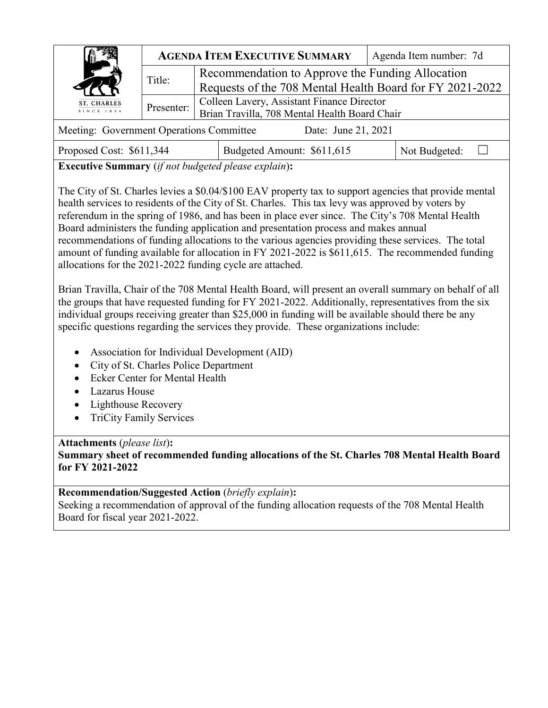|                                                                 |            | <b>AGENDA ITEM EXECUTIVE SUMMARY</b>                     | Agenda Item number: 7d |  |  |  |
|-----------------------------------------------------------------|------------|----------------------------------------------------------|------------------------|--|--|--|
| <b>ST. CHARLES</b><br>SINCE 1834                                | Title:     | Recommendation to Approve the Funding Allocation         |                        |  |  |  |
|                                                                 |            | Requests of the 708 Mental Health Board for FY 2021-2022 |                        |  |  |  |
|                                                                 | Presenter: | Colleen Lavery, Assistant Finance Director               |                        |  |  |  |
|                                                                 |            | Brian Travilla, 708 Mental Health Board Chair            |                        |  |  |  |
| Meeting: Government Operations Committee<br>Date: June 21, 2021 |            |                                                          |                        |  |  |  |

| Proposed Cost: \$611,344 | Budgeted Amount: \$611,615 | Not Budgeted: |  |
|--------------------------|----------------------------|---------------|--|
|--------------------------|----------------------------|---------------|--|

**Executive Summary** (*if not budgeted please explain*)**:**

The City of St. Charles levies a \$0.04/\$100 EAV property tax to support agencies that provide mental health services to residents of the City of St. Charles. This tax levy was approved by voters by referendum in the spring of 1986, and has been in place ever since. The City's 708 Mental Health Board administers the funding application and presentation process and makes annual recommendations of funding allocations to the various agencies providing these services. The total amount of funding available for allocation in FY 2021-2022 is \$611,615. The recommended funding allocations for the 2021-2022 funding cycle are attached.

Brian Travilla, Chair of the 708 Mental Health Board, will present an overall summary on behalf of all the groups that have requested funding for FY 2021-2022. Additionally, representatives from the six individual groups receiving greater than \$25,000 in funding will be available should there be any specific questions regarding the services they provide. These organizations include:

- Association for Individual Development (AID)
- City of St. Charles Police Department
- Ecker Center for Mental Health
- Lazarus House
- Lighthouse Recovery
- TriCity Family Services

## **Attachments** (*please list*)**:**

**Summary sheet of recommended funding allocations of the St. Charles 708 Mental Health Board for FY 2021-2022** 

## **Recommendation/Suggested Action** (*briefly explain*)**:**

Seeking a recommendation of approval of the funding allocation requests of the 708 Mental Health Board for fiscal year 2021-2022.